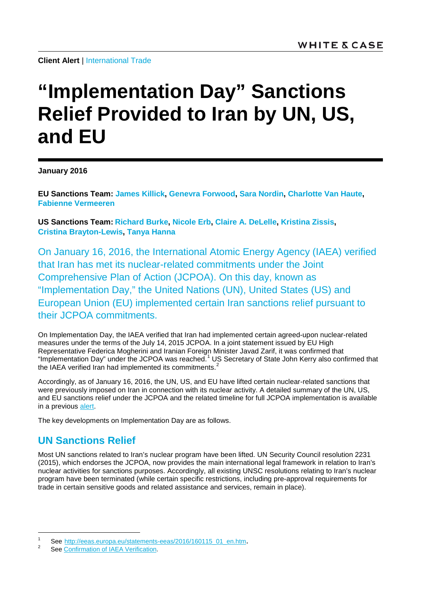**Client Alert | [International Trade](http://www.whitecase.com/law/practices/international-trade)** 

## **"Implementation Day" Sanctions Relief Provided to Iran by UN, US, and EU**

**January 2016**

**[EU Sanctions Team:](mailto:EUsanctions@whitecase.com) [James Killick,](http://www.whitecase.com/people/james-killick) [Genevra Forwood,](http://www.whitecase.com/people/genevra-forwood) [Sara Nordin,](http://www.whitecase.com/people/sara-nordin) [Charlotte Van Haute,](http://www.whitecase.com/people/charlotte-van-haute) [Fabienne Vermeeren](http://www.whitecase.com/people/fabienne-vermeeren)**

**[US Sanctions Team:](mailto:USsanctions@whitecase.com) [Richard Burke,](http://www.whitecase.com/people/richard-burke) [Nicole Erb,](http://www.whitecase.com/people/nicole-erb) [Claire A. DeLelle,](http://www.whitecase.com/people/claire-delelle) [Kristina Zissis,](http://www.whitecase.com/people/kristina-zissis) [Cristina Brayton-Lewis,](http://www.whitecase.com/people/cristina-brayton-lewis) [Tanya Hanna](http://www.whitecase.com/people/tanya-hanna)**

On January 16, 2016, the International Atomic Energy Agency (IAEA) verified that Iran has met its nuclear-related commitments under the Joint Comprehensive Plan of Action (JCPOA). On this day, known as "Implementation Day," the United Nations (UN), United States (US) and European Union (EU) implemented certain Iran sanctions relief pursuant to their JCPOA commitments.

On Implementation Day, the IAEA verified that Iran had implemented certain agreed-upon nuclear-related measures under the terms of the July 14, 2015 JCPOA. In a joint statement issued by EU High Representative Federica Mogherini and Iranian Foreign Minister Javad Zarif, it was confirmed that "Implementation Day" under the JCPOA was reached. [1](#page-0-0) US Secretary of State John Kerry also confirmed that the IAEA verified Iran had implemented its commitments.<sup>[2](#page-0-1)</sup>

Accordingly, as of January 16, 2016, the UN, US, and EU have lifted certain nuclear-related sanctions that were previously imposed on Iran in connection with its nuclear activity. A detailed summary of the UN, US, and EU sanctions relief under the JCPOA and the related timeline for full JCPOA implementation is available in a previous [alert.](http://www.whitecase.com/sites/whitecase/files/files/download/publications/overview-of-sanctions-relief-in-nuclear-deal-with-iran.pdf)

The key developments on Implementation Day are as follows.

## **UN Sanctions Relief**

Most UN sanctions related to Iran's nuclear program have been lifted. UN Security Council resolution 2231 (2015), which endorses the JCPOA, now provides the main international legal framework in relation to Iran's nuclear activities for sanctions purposes. Accordingly, all existing UNSC resolutions relating to Iran's nuclear program have been terminated (while certain specific restrictions, including pre-approval requirements for trade in certain sensitive goods and related assistance and services, remain in place).

<span id="page-0-0"></span><sup>1</sup> See [http://eeas.europa.eu/statements-eeas/2016/160115\\_01\\_en.htm.](http://eeas.europa.eu/statements-eeas/2016/160115_01_en.htm)<br>2 See [Confirmation of IAEA Verification.](http://www.state.gov/e/eb/rls/othr/2016/251284.htm)

<span id="page-0-1"></span>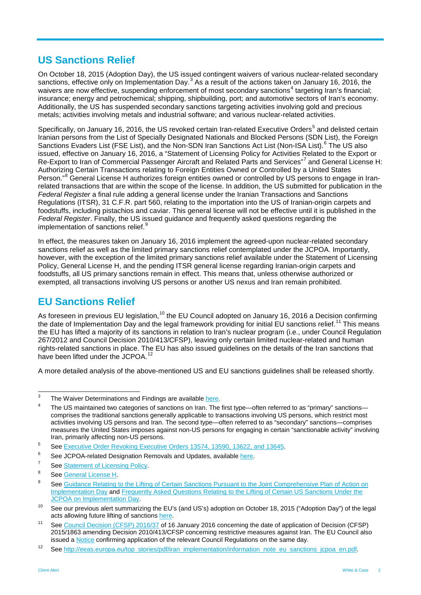## **US Sanctions Relief**

On October 18, 2015 (Adoption Day), the US issued contingent waivers of various nuclear-related secondary sanctions, effective only on Implementation Day.<sup>[3](#page-1-0)</sup> As a result of the actions taken on January 16, 2016, the waivers are now effective, suspending enforcement of most secondary sanctions<sup>[4](#page-1-1)</sup> targeting Iran's financial; insurance; energy and petrochemical; shipping, shipbuilding, port; and automotive sectors of Iran's economy. Additionally, the US has suspended secondary sanctions targeting activities involving gold and precious metals; activities involving metals and industrial software; and various nuclear-related activities.

Specifically, on January 16, 2016, the US revoked certain Iran-related Executive Orders<sup>[5](#page-1-2)</sup> and delisted certain Iranian persons from the List of Specially Designated Nationals and Blocked Persons (SDN List), the Foreign Sanctions Evaders List (FSE List), and the Non-SDN Iran Sanctions Act List (Non-ISA List).<sup>[6](#page-1-3)</sup> The US also issued, effective on January 16, 2016, a "Statement of Licensing Policy for Activities Related to the Export or Re-Export to Iran of Commercial Passenger Aircraft and Related Parts and Services"<sup>[7](#page-1-4)</sup> and General License H: Authorizing Certain Transactions relating to Foreign Entities Owned or Controlled by a United States Person."<sup>[8](#page-1-5)</sup> General License H authorizes foreign entities owned or controlled by US persons to engage in Iranrelated transactions that are within the scope of the license. In addition, the US submitted for publication in the *Federal Register* a final rule adding a general license under the Iranian Transactions and Sanctions Regulations (ITSR), 31 C.F.R. part 560, relating to the importation into the US of Iranian-origin carpets and foodstuffs, including pistachios and caviar. This general license will not be effective until it is published in the *Federal Register*. Finally, the US issued guidance and frequently asked questions regarding the implementation of sanctions relief.

In effect, the measures taken on January 16, 2016 implement the agreed-upon nuclear-related secondary sanctions relief as well as the limited primary sanctions relief contemplated under the JCPOA. Importantly, however, with the exception of the limited primary sanctions relief available under the Statement of Licensing Policy, General License H, and the pending ITSR general license regarding Iranian-origin carpets and foodstuffs, all US primary sanctions remain in effect. This means that, unless otherwise authorized or exempted, all transactions involving US persons or another US nexus and Iran remain prohibited.

## **EU Sanctions Relief**

As foreseen in previous EU legislation,<sup>[10](#page-1-7)</sup> the EU Council adopted on January 16, 2016 a Decision confirming the date of Implementation Day and the legal framework providing for initial EU sanctions relief.<sup>[11](#page-1-8)</sup> This means the EU has lifted a majority of its sanctions in relation to Iran's nuclear program (i.e., under Council Regulation 267/2012 and Council Decision 2010/413/CFSP), leaving only certain limited nuclear-related and human rights-related sanctions in place. The EU has also issued guidelines on the details of the Iran sanctions that have been lifted under the JCPOA.<sup>[12](#page-1-9)</sup>

A more detailed analysis of the above-mentioned US and EU sanctions guidelines shall be released shortly.

<span id="page-1-0"></span> $3$  The Waiver Determinations and Findings are available [here.](http://www.state.gov/documents/organization/248501.pdf)

<span id="page-1-1"></span>The US maintained two categories of sanctions on Iran. The first type—often referred to as "primary" sanctions comprises the traditional sanctions generally applicable to transactions involving US persons, which restrict most activities involving US persons and Iran. The second type—often referred to as "secondary" sanctions—comprises measures the United States imposes against non-US persons for engaging in certain "sanctionable activity" involving Iran, primarily affecting non-US persons.

<span id="page-1-2"></span><sup>5</sup> See [Executive Order Revoking Executive Orders 13574, 13590, 13622, and 13645.](https://www.whitehouse.gov/the-press-office/2016/01/16/executive-order-revocation-of-executive-orders-with-respect-to-Iran)

<span id="page-1-3"></span>See JCPOA-related Designation Removals and Updates, available [here.](https://www.treasury.gov/resource-center/sanctions/OFAC-Enforcement/Pages/updated_names.aspx)

<span id="page-1-4"></span><sup>&</sup>lt;sup>7</sup> See <u>Statement of Licensing Policy</u>.

<span id="page-1-5"></span><sup>&</sup>lt;sup>8</sup> See <u>General License H</u>.

<span id="page-1-6"></span>See Guidance Relating to the Lifting of Certain Sanctions Pursuant to the Joint Comprehensive Plan of Action on [Implementation Day](https://www.treasury.gov/resource-center/sanctions/Programs/Documents/implement_guide_jcpoa.pdf) and Frequently Asked Questions Relating to the Lifting of Certain US Sanctions Under the [JCPOA on Implementation Day.](https://www.treasury.gov/resource-center/sanctions/Programs/Documents/jcpoa_faqs.pdf)

<span id="page-1-7"></span><sup>&</sup>lt;sup>10</sup> See our previous alert summarizing the EU's (and US's) adoption on October 18, 2015 ("Adoption Day") of the legal acts allowing future lifting of sanctions here.

<span id="page-1-8"></span><sup>&</sup>lt;sup>11</sup> See [Council Decision \(CFSP\) 2016/37](http://eur-lex.europa.eu/legal-content/EN/TXT/PDF/?uri=OJ:JOL_2016_011_I_0001&from=EN) of 16 January 2016 concerning the date of application of Decision (CFSP) 2015/1863 amending Decision 2010/413/CFSP concerning restrictive measures against Iran. The EU Council also issued a [Notice](http://eur-lex.europa.eu/legal-content/EN/TXT/PDF/?uri=OJ:JOC_2016_015_I_0001&from=EN) confirming application of the relevant Council Regulations on the same day.

<span id="page-1-9"></span><sup>12</sup> See [http://eeas.europa.eu/top\\_stories/pdf/iran\\_implementation/information\\_note\\_eu\\_sanctions\\_jcpoa\\_en.pdf.](http://eeas.europa.eu/top_stories/pdf/iran_implementation/information_note_eu_sanctions_jcpoa_en.pdf)